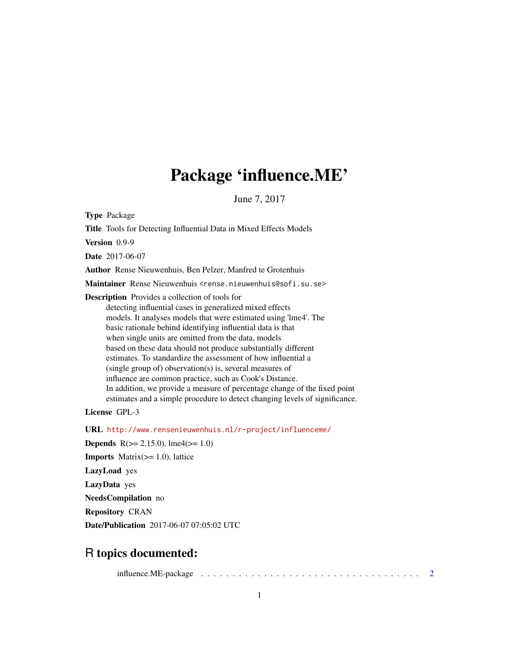# Package 'influence.ME'

June 7, 2017

Type Package

Title Tools for Detecting Influential Data in Mixed Effects Models

Version 0.9-9

Date 2017-06-07

Author Rense Nieuwenhuis, Ben Pelzer, Manfred te Grotenhuis

Maintainer Rense Nieuwenhuis <rense.nieuwenhuis@sofi.su.se>

Description Provides a collection of tools for detecting influential cases in generalized mixed effects models. It analyses models that were estimated using 'lme4'. The basic rationale behind identifying influential data is that when single units are omitted from the data, models based on these data should not produce substantially different estimates. To standardize the assessment of how influential a (single group of) observation(s) is, several measures of influence are common practice, such as Cook's Distance. In addition, we provide a measure of percentage change of the fixed point estimates and a simple procedure to detect changing levels of significance.

License GPL-3

URL <http://www.rensenieuwenhuis.nl/r-project/influenceme/> **Depends** R( $>= 2.15.0$ ), lme4( $>= 1.0$ ) **Imports** Matrix $(>= 1.0)$ , lattice LazyLoad yes LazyData yes NeedsCompilation no Repository CRAN Date/Publication 2017-06-07 07:05:02 UTC

# R topics documented:

influence.ME-package . . . . . . . . . . . . . . . . . . . . . . . . . . . . . . . . . . . [2](#page-1-0)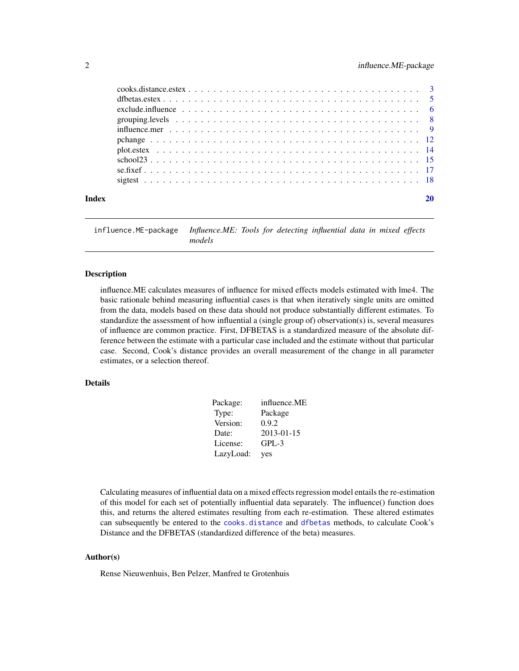<span id="page-1-0"></span>

| Index |  |
|-------|--|

influence.ME-package *Influence.ME: Tools for detecting influential data in mixed effects models*

# Description

influence.ME calculates measures of influence for mixed effects models estimated with lme4. The basic rationale behind measuring influential cases is that when iteratively single units are omitted from the data, models based on these data should not produce substantially different estimates. To standardize the assessment of how influential a (single group of) observation(s) is, several measures of influence are common practice. First, DFBETAS is a standardized measure of the absolute difference between the estimate with a particular case included and the estimate without that particular case. Second, Cook's distance provides an overall measurement of the change in all parameter estimates, or a selection thereof.

# Details

| Package:  | influence.ME |
|-----------|--------------|
| Type:     | Package      |
| Version:  | 0.9.2        |
| Date:     | 2013-01-15   |
| License:  | $GPL-3$      |
| LazyLoad: | yes          |

Calculating measures of influential data on a mixed effects regression model entails the re-estimation of this model for each set of potentially influential data separately. The influence() function does this, and returns the altered estimates resulting from each re-estimation. These altered estimates can subsequently be entered to the [cooks.distance](#page-2-1) and [dfbetas](#page-4-1) methods, to calculate Cook's Distance and the DFBETAS (standardized difference of the beta) measures.

# Author(s)

Rense Nieuwenhuis, Ben Pelzer, Manfred te Grotenhuis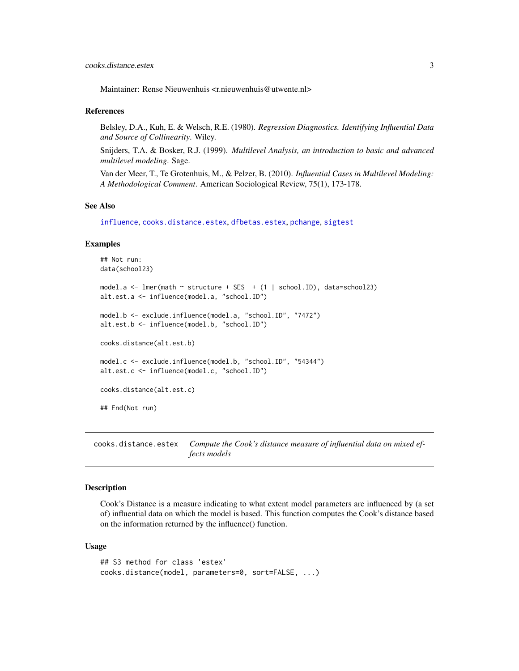<span id="page-2-0"></span>Maintainer: Rense Nieuwenhuis <r.nieuwenhuis@utwente.nl>

# References

Belsley, D.A., Kuh, E. & Welsch, R.E. (1980). *Regression Diagnostics. Identifying Influential Data and Source of Collinearity*. Wiley.

Snijders, T.A. & Bosker, R.J. (1999). *Multilevel Analysis, an introduction to basic and advanced multilevel modeling*. Sage.

Van der Meer, T., Te Grotenhuis, M., & Pelzer, B. (2010). *Influential Cases in Multilevel Modeling: A Methodological Comment*. American Sociological Review, 75(1), 173-178.

# See Also

[influence](#page-8-1), [cooks.distance.estex](#page-2-2), [dfbetas.estex](#page-4-2), [pchange](#page-11-1), [sigtest](#page-17-1)

#### Examples

```
## Not run:
data(school23)
model.a \leq lmer(math \sim structure + SES + (1 | school.ID), data=school23)
alt.est.a <- influence(model.a, "school.ID")
model.b <- exclude.influence(model.a, "school.ID", "7472")
alt.est.b <- influence(model.b, "school.ID")
cooks.distance(alt.est.b)
model.c <- exclude.influence(model.b, "school.ID", "54344")
alt.est.c <- influence(model.c, "school.ID")
cooks.distance(alt.est.c)
## End(Not run)
```
<span id="page-2-2"></span>cooks.distance.estex *Compute the Cook's distance measure of influential data on mixed effects models*

# <span id="page-2-1"></span>Description

Cook's Distance is a measure indicating to what extent model parameters are influenced by (a set of) influential data on which the model is based. This function computes the Cook's distance based on the information returned by the influence() function.

#### Usage

```
## S3 method for class 'estex'
cooks.distance(model, parameters=0, sort=FALSE, ...)
```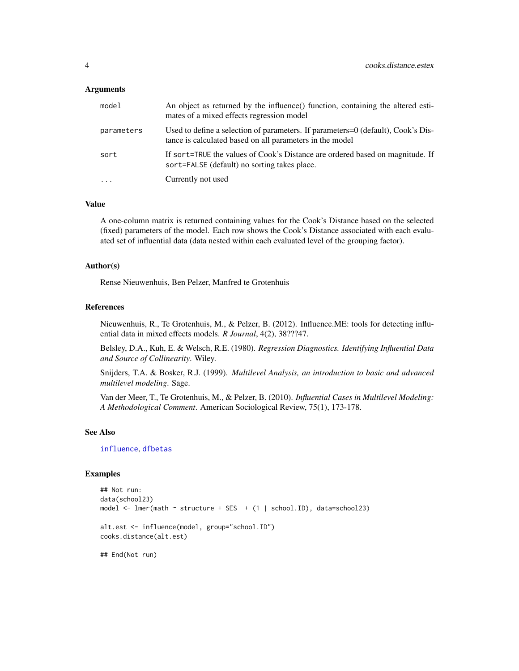#### <span id="page-3-0"></span>Arguments

| model      | An object as returned by the influence() function, containing the altered esti-<br>mates of a mixed effects regression model                 |
|------------|----------------------------------------------------------------------------------------------------------------------------------------------|
| parameters | Used to define a selection of parameters. If parameters=0 (default), Cook's Dis-<br>tance is calculated based on all parameters in the model |
| sort       | If sort=TRUE the values of Cook's Distance are ordered based on magnitude. If<br>sort=FALSE (default) no sorting takes place.                |
| $\ddotsc$  | Currently not used                                                                                                                           |

#### Value

A one-column matrix is returned containing values for the Cook's Distance based on the selected (fixed) parameters of the model. Each row shows the Cook's Distance associated with each evaluated set of influential data (data nested within each evaluated level of the grouping factor).

#### Author(s)

Rense Nieuwenhuis, Ben Pelzer, Manfred te Grotenhuis

# References

Nieuwenhuis, R., Te Grotenhuis, M., & Pelzer, B. (2012). Influence.ME: tools for detecting influential data in mixed effects models. *R Journal*, 4(2), 38???47.

Belsley, D.A., Kuh, E. & Welsch, R.E. (1980). *Regression Diagnostics. Identifying Influential Data and Source of Collinearity*. Wiley.

Snijders, T.A. & Bosker, R.J. (1999). *Multilevel Analysis, an introduction to basic and advanced multilevel modeling*. Sage.

Van der Meer, T., Te Grotenhuis, M., & Pelzer, B. (2010). *Influential Cases in Multilevel Modeling: A Methodological Comment*. American Sociological Review, 75(1), 173-178.

# See Also

[influence](#page-8-1), [dfbetas](#page-4-1)

#### Examples

```
## Not run:
data(school23)
model <- lmer(math ~ structure + SES + (1 | school.ID), data=school23)
alt.est <- influence(model, group="school.ID")
cooks.distance(alt.est)
```
## End(Not run)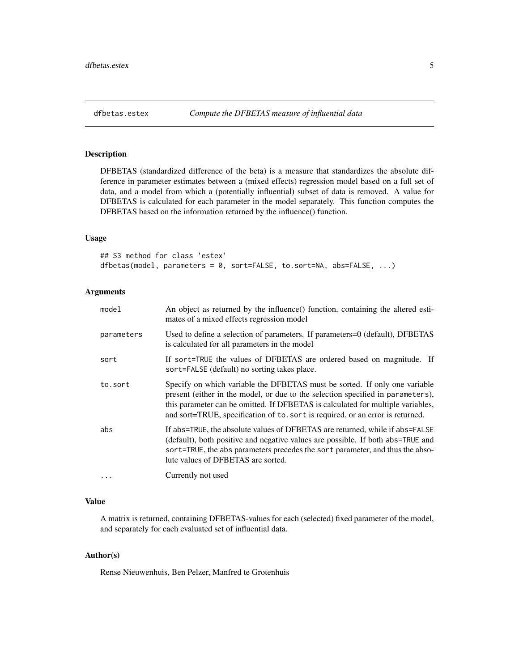<span id="page-4-2"></span><span id="page-4-1"></span><span id="page-4-0"></span>DFBETAS (standardized difference of the beta) is a measure that standardizes the absolute difference in parameter estimates between a (mixed effects) regression model based on a full set of data, and a model from which a (potentially influential) subset of data is removed. A value for DFBETAS is calculated for each parameter in the model separately. This function computes the DFBETAS based on the information returned by the influence() function.

# Usage

```
## S3 method for class 'estex'
dfbetas(model, parameters = 0, sort=FALSE, to.sort=NA, abs=FALSE, ...)
```
## Arguments

| model      | An object as returned by the influence() function, containing the altered esti-<br>mates of a mixed effects regression model                                                                                                                                                                                                       |
|------------|------------------------------------------------------------------------------------------------------------------------------------------------------------------------------------------------------------------------------------------------------------------------------------------------------------------------------------|
| parameters | Used to define a selection of parameters. If parameters=0 (default), DFBETAS<br>is calculated for all parameters in the model                                                                                                                                                                                                      |
| sort       | If sort=TRUE the values of DFBETAS are ordered based on magnitude. If<br>sort=FALSE (default) no sorting takes place.                                                                                                                                                                                                              |
| to.sort    | Specify on which variable the DFBETAS must be sorted. If only one variable<br>present (either in the model, or due to the selection specified in parameters),<br>this parameter can be omitted. If DFBETAS is calculated for multiple variables,<br>and sort=TRUE, specification of to. sort is required, or an error is returned. |
| abs        | If abs=TRUE, the absolute values of DFBETAS are returned, while if abs=FALSE<br>(default), both positive and negative values are possible. If both abs=TRUE and<br>sort=TRUE, the abs parameters precedes the sort parameter, and thus the abso-<br>lute values of DFBETAS are sorted.                                             |
| $\ddots$   | Currently not used                                                                                                                                                                                                                                                                                                                 |

# Value

A matrix is returned, containing DFBETAS-values for each (selected) fixed parameter of the model, and separately for each evaluated set of influential data.

# Author(s)

Rense Nieuwenhuis, Ben Pelzer, Manfred te Grotenhuis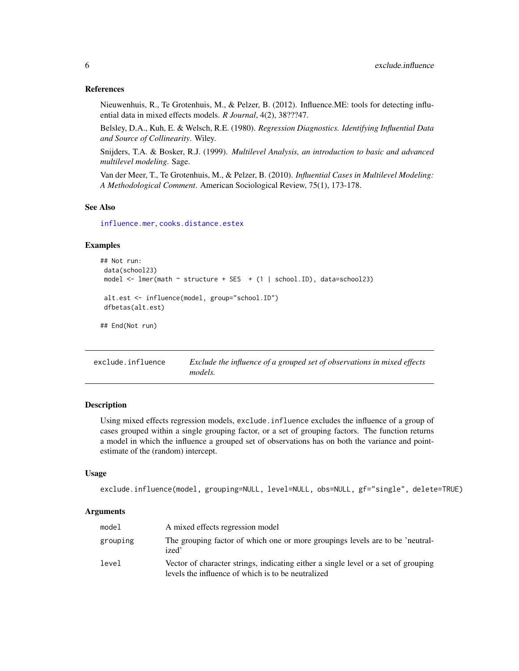#### <span id="page-5-0"></span>References

Nieuwenhuis, R., Te Grotenhuis, M., & Pelzer, B. (2012). Influence.ME: tools for detecting influential data in mixed effects models. *R Journal*, 4(2), 38???47.

Belsley, D.A., Kuh, E. & Welsch, R.E. (1980). *Regression Diagnostics. Identifying Influential Data and Source of Collinearity*. Wiley.

Snijders, T.A. & Bosker, R.J. (1999). *Multilevel Analysis, an introduction to basic and advanced multilevel modeling*. Sage.

Van der Meer, T., Te Grotenhuis, M., & Pelzer, B. (2010). *Influential Cases in Multilevel Modeling: A Methodological Comment*. American Sociological Review, 75(1), 173-178.

#### See Also

[influence.mer](#page-8-2), [cooks.distance.estex](#page-2-2)

#### Examples

```
## Not run:
data(school23)
model <- lmer(math ~ structure + SES + (1 | school.ID), data=school23)
 alt.est <- influence(model, group="school.ID")
dfbetas(alt.est)
```
## End(Not run)

exclude.influence *Exclude the influence of a grouped set of observations in mixed effects models.*

# Description

Using mixed effects regression models, exclude.influence excludes the influence of a group of cases grouped within a single grouping factor, or a set of grouping factors. The function returns a model in which the influence a grouped set of observations has on both the variance and pointestimate of the (random) intercept.

#### Usage

```
exclude.influence(model, grouping=NULL, level=NULL, obs=NULL, gf="single", delete=TRUE)
```
#### Arguments

| model    | A mixed effects regression model                                                                                                         |
|----------|------------------------------------------------------------------------------------------------------------------------------------------|
| grouping | The grouping factor of which one or more groupings levels are to be 'neutral-<br>ized'                                                   |
| level    | Vector of character strings, indicating either a single level or a set of grouping<br>levels the influence of which is to be neutralized |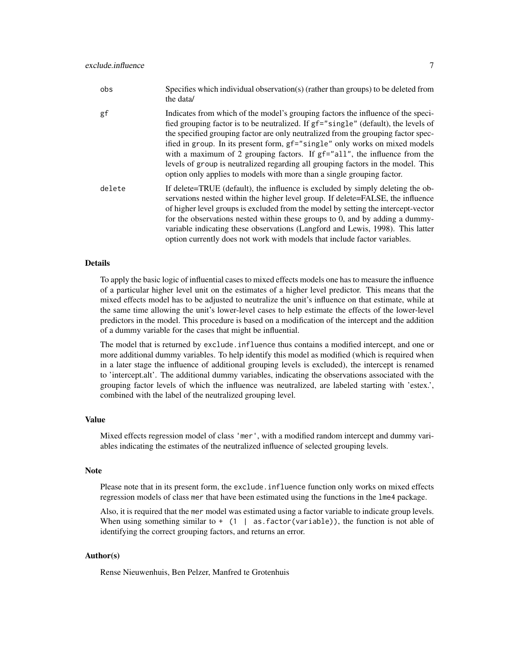| obs    | Specifies which individual observation(s) (rather than groups) to be deleted from<br>the data/                                                                                                                                                                                                                                                                                                                                                                                                                                                                                           |
|--------|------------------------------------------------------------------------------------------------------------------------------------------------------------------------------------------------------------------------------------------------------------------------------------------------------------------------------------------------------------------------------------------------------------------------------------------------------------------------------------------------------------------------------------------------------------------------------------------|
| gf     | Indicates from which of the model's grouping factors the influence of the speci-<br>fied grouping factor is to be neutralized. If gf="single" (default), the levels of<br>the specified grouping factor are only neutralized from the grouping factor spec-<br>ified in group. In its present form, gf="single" only works on mixed models<br>with a maximum of 2 grouping factors. If $gf='all'$ , the influence from the<br>levels of group is neutralized regarding all grouping factors in the model. This<br>option only applies to models with more than a single grouping factor. |
| delete | If delete=TRUE (default), the influence is excluded by simply deleting the ob-<br>servations nested within the higher level group. If delete=FALSE, the influence<br>of higher level groups is excluded from the model by setting the intercept-vector<br>for the observations nested within these groups to 0, and by adding a dummy-<br>variable indicating these observations (Langford and Lewis, 1998). This latter<br>option currently does not work with models that include factor variables.                                                                                    |

#### Details

To apply the basic logic of influential cases to mixed effects models one has to measure the influence of a particular higher level unit on the estimates of a higher level predictor. This means that the mixed effects model has to be adjusted to neutralize the unit's influence on that estimate, while at the same time allowing the unit's lower-level cases to help estimate the effects of the lower-level predictors in the model. This procedure is based on a modification of the intercept and the addition of a dummy variable for the cases that might be influential.

The model that is returned by exclude.influence thus contains a modified intercept, and one or more additional dummy variables. To help identify this model as modified (which is required when in a later stage the influence of additional grouping levels is excluded), the intercept is renamed to 'intercept.alt'. The additional dummy variables, indicating the observations associated with the grouping factor levels of which the influence was neutralized, are labeled starting with 'estex.', combined with the label of the neutralized grouping level.

# Value

Mixed effects regression model of class 'mer', with a modified random intercept and dummy variables indicating the estimates of the neutralized influence of selected grouping levels.

# Note

Please note that in its present form, the exclude.influence function only works on mixed effects regression models of class mer that have been estimated using the functions in the lme4 package.

Also, it is required that the mer model was estimated using a factor variable to indicate group levels. When using something similar to  $+$  (1 | as. factor (variable)), the function is not able of identifying the correct grouping factors, and returns an error.

# Author(s)

Rense Nieuwenhuis, Ben Pelzer, Manfred te Grotenhuis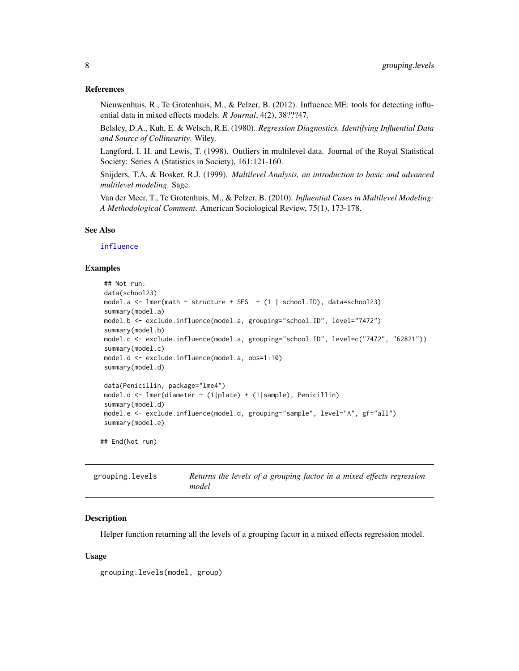#### <span id="page-7-0"></span>References

Nieuwenhuis, R., Te Grotenhuis, M., & Pelzer, B. (2012). Influence.ME: tools for detecting influential data in mixed effects models. *R Journal*, 4(2), 38???47.

Belsley, D.A., Kuh, E. & Welsch, R.E. (1980). *Regression Diagnostics. Identifying Influential Data and Source of Collinearity*. Wiley.

Langford, I. H. and Lewis, T. (1998). Outliers in multilevel data. Journal of the Royal Statistical Society: Series A (Statistics in Society), 161:121-160.

Snijders, T.A. & Bosker, R.J. (1999). *Multilevel Analysis, an introduction to basic and advanced multilevel modeling*. Sage.

Van der Meer, T., Te Grotenhuis, M., & Pelzer, B. (2010). *Influential Cases in Multilevel Modeling: A Methodological Comment*. American Sociological Review, 75(1), 173-178.

#### See Also

# [influence](#page-8-1)

# Examples

```
## Not run:
data(school23)
model.a \leq lmer(math \sim structure + SES + (1 | school.ID), data=school23)
summary(model.a)
model.b <- exclude.influence(model.a, grouping="school.ID", level="7472")
summary(model.b)
model.c <- exclude.influence(model.a, grouping="school.ID", level=c("7472", "62821"))
summary(model.c)
model.d <- exclude.influence(model.a, obs=1:10)
summary(model.d)
data(Penicillin, package="lme4")
model.d <- lmer(diameter ~ (1|plate) + (1|sample), Penicillin)
summary(model.d)
model.e <- exclude.influence(model.d, grouping="sample", level="A", gf="all")
```
## End(Not run)

summary(model.e)

| grouping.levels | Returns the levels of a grouping factor in a mixed effects regression |
|-----------------|-----------------------------------------------------------------------|
|                 | model                                                                 |

#### **Description**

Helper function returning all the levels of a grouping factor in a mixed effects regression model.

#### Usage

```
grouping.levels(model, group)
```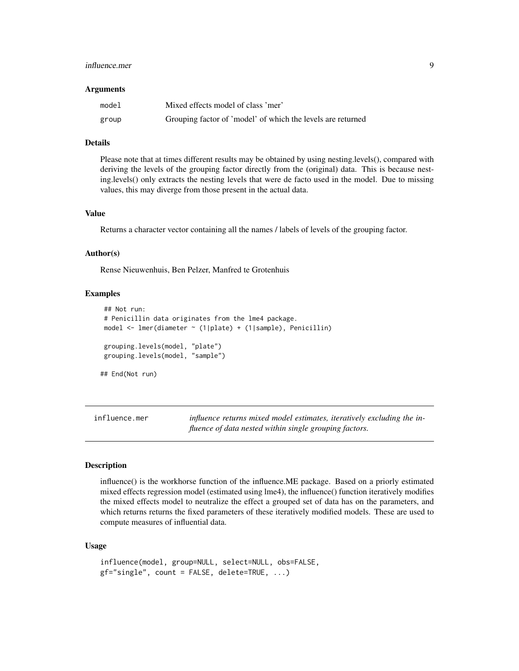# <span id="page-8-0"></span>influence.mer 9

#### **Arguments**

| model | Mixed effects model of class 'mer'                          |
|-------|-------------------------------------------------------------|
| group | Grouping factor of 'model' of which the levels are returned |

#### Details

Please note that at times different results may be obtained by using nesting.levels(), compared with deriving the levels of the grouping factor directly from the (original) data. This is because nesting.levels() only extracts the nesting levels that were de facto used in the model. Due to missing values, this may diverge from those present in the actual data.

#### Value

Returns a character vector containing all the names / labels of levels of the grouping factor.

#### Author(s)

Rense Nieuwenhuis, Ben Pelzer, Manfred te Grotenhuis

# **Examples**

```
## Not run:
# Penicillin data originates from the lme4 package.
model <- lmer(diameter ~ (1|plate) + (1|sample), Penicillin)
grouping.levels(model, "plate")
grouping.levels(model, "sample")
## End(Not run)
```
<span id="page-8-2"></span>influence.mer *influence returns mixed model estimates, iteratively excluding the influence of data nested within single grouping factors.*

#### <span id="page-8-1"></span>Description

influence() is the workhorse function of the influence.ME package. Based on a priorly estimated mixed effects regression model (estimated using lme4), the influence() function iteratively modifies the mixed effects model to neutralize the effect a grouped set of data has on the parameters, and which returns returns the fixed parameters of these iteratively modified models. These are used to compute measures of influential data.

#### Usage

```
influence(model, group=NULL, select=NULL, obs=FALSE,
gf="single", count = FALSE, delete=TRUE, ...)
```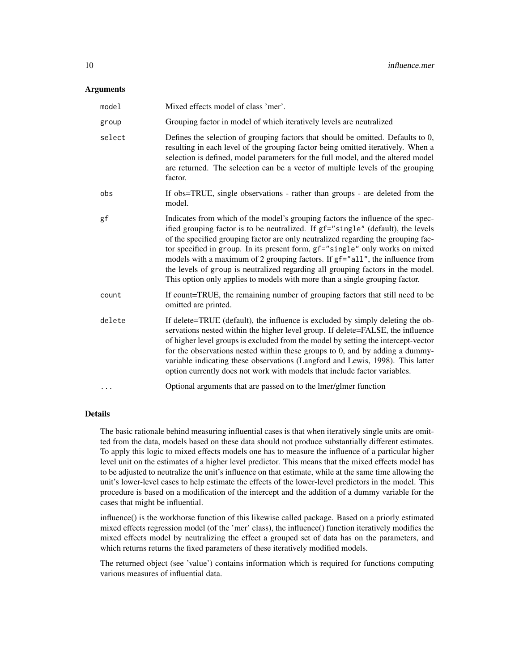#### **Arguments**

| model  | Mixed effects model of class 'mer'.                                                                                                                                                                                                                                                                                                                                                                                                                                                                                                                                                        |
|--------|--------------------------------------------------------------------------------------------------------------------------------------------------------------------------------------------------------------------------------------------------------------------------------------------------------------------------------------------------------------------------------------------------------------------------------------------------------------------------------------------------------------------------------------------------------------------------------------------|
| group  | Grouping factor in model of which iteratively levels are neutralized                                                                                                                                                                                                                                                                                                                                                                                                                                                                                                                       |
| select | Defines the selection of grouping factors that should be omitted. Defaults to 0,<br>resulting in each level of the grouping factor being omitted iteratively. When a<br>selection is defined, model parameters for the full model, and the altered model<br>are returned. The selection can be a vector of multiple levels of the grouping<br>factor.                                                                                                                                                                                                                                      |
| obs    | If obs=TRUE, single observations - rather than groups - are deleted from the<br>model.                                                                                                                                                                                                                                                                                                                                                                                                                                                                                                     |
| gf     | Indicates from which of the model's grouping factors the influence of the spec-<br>ified grouping factor is to be neutralized. If gf="single" (default), the levels<br>of the specified grouping factor are only neutralized regarding the grouping fac-<br>tor specified in group. In its present form, gf="single" only works on mixed<br>models with a maximum of 2 grouping factors. If gf="all", the influence from<br>the levels of group is neutralized regarding all grouping factors in the model.<br>This option only applies to models with more than a single grouping factor. |
| count  | If count=TRUE, the remaining number of grouping factors that still need to be<br>omitted are printed.                                                                                                                                                                                                                                                                                                                                                                                                                                                                                      |
| delete | If delete=TRUE (default), the influence is excluded by simply deleting the ob-<br>servations nested within the higher level group. If delete=FALSE, the influence<br>of higher level groups is excluded from the model by setting the intercept-vector<br>for the observations nested within these groups to 0, and by adding a dummy-<br>variable indicating these observations (Langford and Lewis, 1998). This latter<br>option currently does not work with models that include factor variables.                                                                                      |
| .      | Optional arguments that are passed on to the lmer/glmer function                                                                                                                                                                                                                                                                                                                                                                                                                                                                                                                           |

#### Details

The basic rationale behind measuring influential cases is that when iteratively single units are omitted from the data, models based on these data should not produce substantially different estimates. To apply this logic to mixed effects models one has to measure the influence of a particular higher level unit on the estimates of a higher level predictor. This means that the mixed effects model has to be adjusted to neutralize the unit's influence on that estimate, while at the same time allowing the unit's lower-level cases to help estimate the effects of the lower-level predictors in the model. This procedure is based on a modification of the intercept and the addition of a dummy variable for the cases that might be influential.

influence() is the workhorse function of this likewise called package. Based on a priorly estimated mixed effects regression model (of the 'mer' class), the influence() function iteratively modifies the mixed effects model by neutralizing the effect a grouped set of data has on the parameters, and which returns returns the fixed parameters of these iteratively modified models.

The returned object (see 'value') contains information which is required for functions computing various measures of influential data.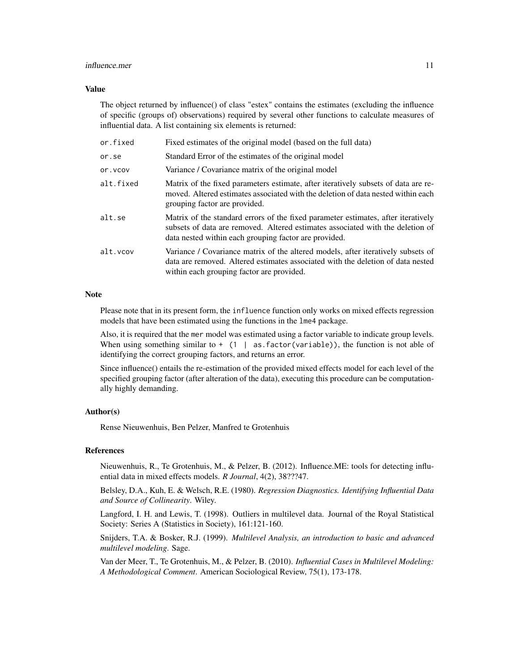#### influence.mer 11

#### Value

The object returned by influence() of class "estex" contains the estimates (excluding the influence of specific (groups of) observations) required by several other functions to calculate measures of influential data. A list containing six elements is returned:

| or.fixed  | Fixed estimates of the original model (based on the full data)                                                                                                                                                               |
|-----------|------------------------------------------------------------------------------------------------------------------------------------------------------------------------------------------------------------------------------|
| or.se     | Standard Error of the estimates of the original model                                                                                                                                                                        |
| or.vcov   | Variance / Covariance matrix of the original model                                                                                                                                                                           |
| alt.fixed | Matrix of the fixed parameters estimate, after iteratively subsets of data are re-<br>moved. Altered estimates associated with the deletion of data nested within each<br>grouping factor are provided.                      |
| alt.se    | Matrix of the standard errors of the fixed parameter estimates, after iteratively<br>subsets of data are removed. Altered estimates associated with the deletion of<br>data nested within each grouping factor are provided. |
| alt.vcov  | Variance / Covariance matrix of the altered models, after iteratively subsets of<br>data are removed. Altered estimates associated with the deletion of data nested<br>within each grouping factor are provided.             |

# Note

Please note that in its present form, the influence function only works on mixed effects regression models that have been estimated using the functions in the lme4 package.

Also, it is required that the mer model was estimated using a factor variable to indicate group levels. When using something similar to  $+$  (1 | as. factor (variable)), the function is not able of identifying the correct grouping factors, and returns an error.

Since influence() entails the re-estimation of the provided mixed effects model for each level of the specified grouping factor (after alteration of the data), executing this procedure can be computationally highly demanding.

#### Author(s)

Rense Nieuwenhuis, Ben Pelzer, Manfred te Grotenhuis

#### References

Nieuwenhuis, R., Te Grotenhuis, M., & Pelzer, B. (2012). Influence.ME: tools for detecting influential data in mixed effects models. *R Journal*, 4(2), 38???47.

Belsley, D.A., Kuh, E. & Welsch, R.E. (1980). *Regression Diagnostics. Identifying Influential Data and Source of Collinearity*. Wiley.

Langford, I. H. and Lewis, T. (1998). Outliers in multilevel data. Journal of the Royal Statistical Society: Series A (Statistics in Society), 161:121-160.

Snijders, T.A. & Bosker, R.J. (1999). *Multilevel Analysis, an introduction to basic and advanced multilevel modeling*. Sage.

Van der Meer, T., Te Grotenhuis, M., & Pelzer, B. (2010). *Influential Cases in Multilevel Modeling: A Methodological Comment*. American Sociological Review, 75(1), 173-178.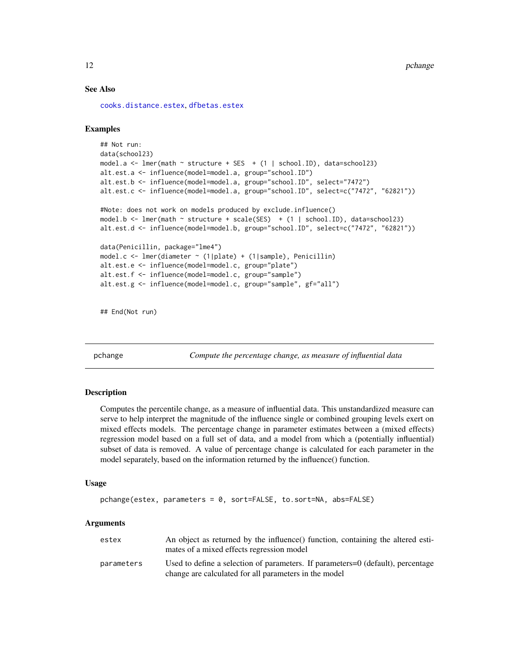#### <span id="page-11-0"></span>See Also

[cooks.distance.estex](#page-2-2), [dfbetas.estex](#page-4-2)

#### Examples

```
## Not run:
data(school23)
model.a \le - lmer(math \sim structure + SES + (1 | school.ID), data=school23)
alt.est.a <- influence(model=model.a, group="school.ID")
alt.est.b <- influence(model=model.a, group="school.ID", select="7472")
alt.est.c <- influence(model=model.a, group="school.ID", select=c("7472", "62821"))
#Note: does not work on models produced by exclude.influence()
model.b <- lmer(math ~ structure + scale(SES) + (1 | school.ID), data=school23)
alt.est.d <- influence(model=model.b, group="school.ID", select=c("7472", "62821"))
data(Penicillin, package="lme4")
model.c <- lmer(diameter ~ (1|plate) + (1|sample), Penicillin)
alt.est.e <- influence(model=model.c, group="plate")
alt.est.f <- influence(model=model.c, group="sample")
alt.est.g <- influence(model=model.c, group="sample", gf="all")
```
## End(Not run)

<span id="page-11-1"></span>pchange *Compute the percentage change, as measure of influential data*

#### Description

Computes the percentile change, as a measure of influential data. This unstandardized measure can serve to help interpret the magnitude of the influence single or combined grouping levels exert on mixed effects models. The percentage change in parameter estimates between a (mixed effects) regression model based on a full set of data, and a model from which a (potentially influential) subset of data is removed. A value of percentage change is calculated for each parameter in the model separately, based on the information returned by the influence() function.

#### Usage

```
pchange(estex, parameters = 0, sort=FALSE, to.sort=NA, abs=FALSE)
```
#### Arguments

| estex      | An object as returned by the influence() function, containing the altered esti-<br>mates of a mixed effects regression model             |
|------------|------------------------------------------------------------------------------------------------------------------------------------------|
| parameters | Used to define a selection of parameters. If parameters=0 (default), percentage<br>change are calculated for all parameters in the model |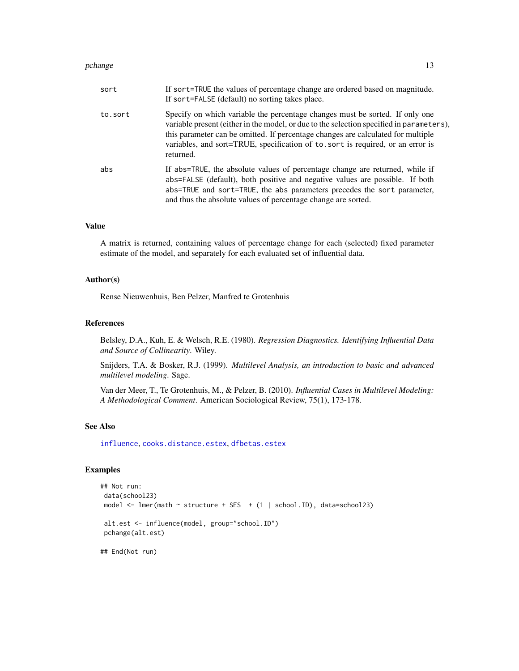#### <span id="page-12-0"></span>pchange that the contract of the contract of the contract of the contract of the contract of the contract of the contract of the contract of the contract of the contract of the contract of the contract of the contract of t

| sort    | If sort=TRUE the values of percentage change are ordered based on magnitude.<br>If sort=FALSE (default) no sorting takes place.                                                                                                                                                                                                                             |
|---------|-------------------------------------------------------------------------------------------------------------------------------------------------------------------------------------------------------------------------------------------------------------------------------------------------------------------------------------------------------------|
| to.sort | Specify on which variable the percentage changes must be sorted. If only one<br>variable present (either in the model, or due to the selection specified in parameters),<br>this parameter can be omitted. If percentage changes are calculated for multiple<br>variables, and sort=TRUE, specification of to sort is required, or an error is<br>returned. |
| abs     | If abs=TRUE, the absolute values of percentage change are returned, while if<br>abs=FALSE (default), both positive and negative values are possible. If both<br>abs=TRUE and sort=TRUE, the abs parameters precedes the sort parameter,<br>and thus the absolute values of percentage change are sorted.                                                    |

#### Value

A matrix is returned, containing values of percentage change for each (selected) fixed parameter estimate of the model, and separately for each evaluated set of influential data.

#### Author(s)

Rense Nieuwenhuis, Ben Pelzer, Manfred te Grotenhuis

### References

Belsley, D.A., Kuh, E. & Welsch, R.E. (1980). *Regression Diagnostics. Identifying Influential Data and Source of Collinearity*. Wiley.

Snijders, T.A. & Bosker, R.J. (1999). *Multilevel Analysis, an introduction to basic and advanced multilevel modeling*. Sage.

Van der Meer, T., Te Grotenhuis, M., & Pelzer, B. (2010). *Influential Cases in Multilevel Modeling: A Methodological Comment*. American Sociological Review, 75(1), 173-178.

#### See Also

[influence](#page-8-1), [cooks.distance.estex](#page-2-2), [dfbetas.estex](#page-4-2)

# Examples

```
## Not run:
data(school23)
model <- lmer(math ~ structure + SES + (1 | school.ID), data=school23)
alt.est <- influence(model, group="school.ID")
pchange(alt.est)
## End(Not run)
```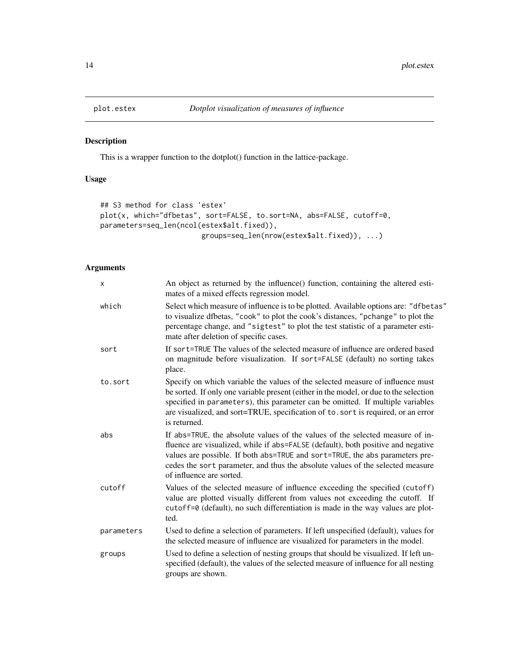<span id="page-13-0"></span>

This is a wrapper function to the dotplot() function in the lattice-package.

# Usage

```
## S3 method for class 'estex'
plot(x, which="dfbetas", sort=FALSE, to.sort=NA, abs=FALSE, cutoff=0,
parameters=seq_len(ncol(estex$alt.fixed)),
                        groups=seq_len(nrow(estex$alt.fixed)), ...)
```
# Arguments

| X          | An object as returned by the influence() function, containing the altered esti-<br>mates of a mixed effects regression model.                                                                                                                                                                                                                                   |
|------------|-----------------------------------------------------------------------------------------------------------------------------------------------------------------------------------------------------------------------------------------------------------------------------------------------------------------------------------------------------------------|
| which      | Select which measure of influence is to be plotted. Available options are: "dfbetas"<br>to visualize dfbetas, "cook" to plot the cook's distances, "pchange" to plot the<br>percentage change, and "sigtest" to plot the test statistic of a parameter esti-<br>mate after deletion of specific cases.                                                          |
| sort       | If sort=TRUE The values of the selected measure of influence are ordered based<br>on magnitude before visualization. If sort=FALSE (default) no sorting takes<br>place.                                                                                                                                                                                         |
| to.sort    | Specify on which variable the values of the selected measure of influence must<br>be sorted. If only one variable present (either in the model, or due to the selection<br>specified in parameters), this parameter can be omitted. If multiple variables<br>are visualized, and sort=TRUE, specification of to. sort is required, or an error<br>is returned.  |
| abs        | If abs=TRUE, the absolute values of the values of the selected measure of in-<br>fluence are visualized, while if abs=FALSE (default), both positive and negative<br>values are possible. If both abs=TRUE and sort=TRUE, the abs parameters pre-<br>cedes the sort parameter, and thus the absolute values of the selected measure<br>of influence are sorted. |
| cutoff     | Values of the selected measure of influence exceeding the specified (cutoff)<br>value are plotted visually different from values not exceeding the cutoff. If<br>cutoff=0 (default), no such differentiation is made in the way values are plot-<br>ted.                                                                                                        |
| parameters | Used to define a selection of parameters. If left unspecified (default), values for<br>the selected measure of influence are visualized for parameters in the model.                                                                                                                                                                                            |
| groups     | Used to define a selection of nesting groups that should be visualized. If left un-<br>specified (default), the values of the selected measure of influence for all nesting<br>groups are shown.                                                                                                                                                                |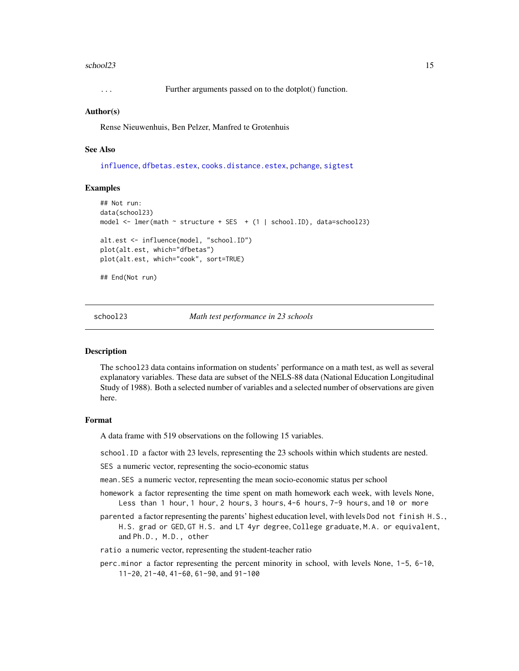#### <span id="page-14-0"></span>school23 15

... Further arguments passed on to the dotplot() function.

#### Author(s)

Rense Nieuwenhuis, Ben Pelzer, Manfred te Grotenhuis

#### See Also

[influence](#page-8-1), [dfbetas.estex](#page-4-2), [cooks.distance.estex](#page-2-2), [pchange](#page-11-1), [sigtest](#page-17-1)

#### Examples

```
## Not run:
data(school23)
model <- lmer(math ~ structure + SES + (1 | school.ID), data=school23)
alt.est <- influence(model, "school.ID")
plot(alt.est, which="dfbetas")
plot(alt.est, which="cook", sort=TRUE)
## End(Not run)
```
school23 *Math test performance in 23 schools*

#### **Description**

The school23 data contains information on students' performance on a math test, as well as several explanatory variables. These data are subset of the NELS-88 data (National Education Longitudinal Study of 1988). Both a selected number of variables and a selected number of observations are given here.

#### Format

A data frame with 519 observations on the following 15 variables.

school.ID a factor with 23 levels, representing the 23 schools within which students are nested.

SES a numeric vector, representing the socio-economic status

- mean.SES a numeric vector, representing the mean socio-economic status per school
- homework a factor representing the time spent on math homework each week, with levels None, Less than 1 hour, 1 hour, 2 hours, 3 hours, 4-6 hours, 7-9 hours, and 10 or more
- parented a factor representing the parents' highest education level, with levels Dod not finish H.S., H.S. grad or GED, GT H.S. and LT 4yr degree, College graduate, M.A. or equivalent, and Ph.D., M.D., other
- ratio a numeric vector, representing the student-teacher ratio
- perc.minor a factor representing the percent minority in school, with levels None, 1-5, 6-10, 11-20, 21-40, 41-60, 61-90, and 91-100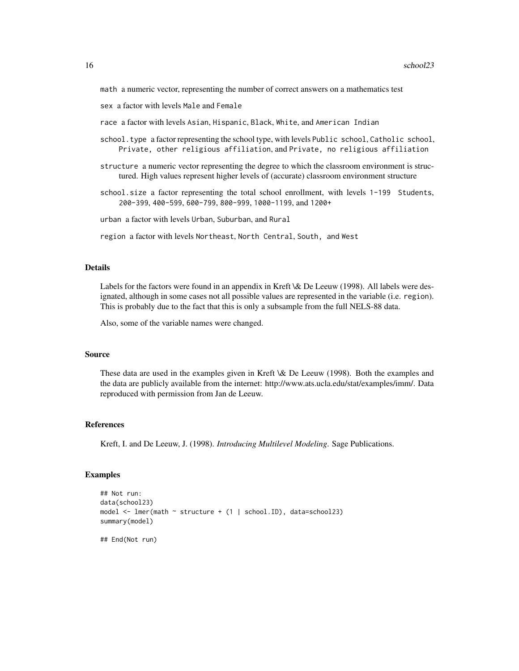math a numeric vector, representing the number of correct answers on a mathematics test

sex a factor with levels Male and Female

race a factor with levels Asian, Hispanic, Black, White, and American Indian

- school.type a factor representing the school type, with levels Public school, Catholic school, Private, other religious affiliation, and Private, no religious affiliation
- structure a numeric vector representing the degree to which the classroom environment is structured. High values represent higher levels of (accurate) classroom environment structure

school.size a factor representing the total school enrollment, with levels 1-199 Students, 200-399, 400-599, 600-799, 800-999, 1000-1199, and 1200+

urban a factor with levels Urban, Suburban, and Rural

region a factor with levels Northeast, North Central, South, and West

## Details

Labels for the factors were found in an appendix in Kreft \& De Leeuw (1998). All labels were designated, although in some cases not all possible values are represented in the variable (i.e. region). This is probably due to the fact that this is only a subsample from the full NELS-88 data.

Also, some of the variable names were changed.

# Source

These data are used in the examples given in Kreft \& De Leeuw (1998). Both the examples and the data are publicly available from the internet: http://www.ats.ucla.edu/stat/examples/imm/. Data reproduced with permission from Jan de Leeuw.

#### References

Kreft, I. and De Leeuw, J. (1998). *Introducing Multilevel Modeling*. Sage Publications.

#### Examples

```
## Not run:
data(school23)
model <- lmer(math ~ structure + (1 | school.ID), data=school23)
summary(model)
## End(Not run)
```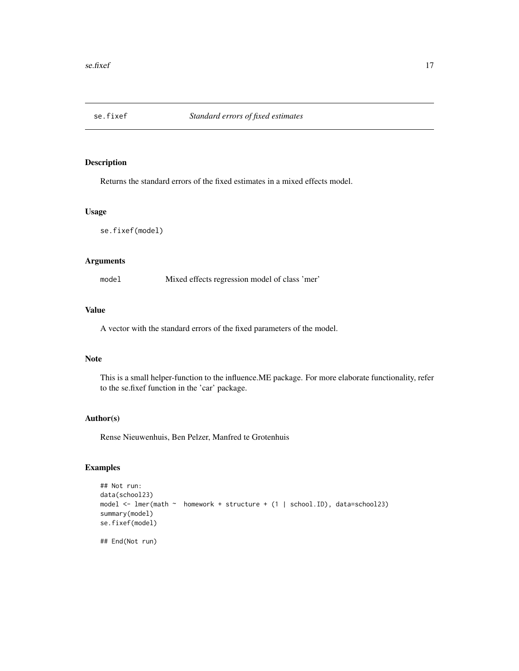<span id="page-16-0"></span>

Returns the standard errors of the fixed estimates in a mixed effects model.

#### Usage

se.fixef(model)

# Arguments

model Mixed effects regression model of class 'mer'

# Value

A vector with the standard errors of the fixed parameters of the model.

# Note

This is a small helper-function to the influence.ME package. For more elaborate functionality, refer to the se.fixef function in the 'car' package.

## Author(s)

Rense Nieuwenhuis, Ben Pelzer, Manfred te Grotenhuis

# Examples

```
## Not run:
data(school23)
model <- lmer(math ~ homework + structure + (1 | school.ID), data=school23)
summary(model)
se.fixef(model)
```
## End(Not run)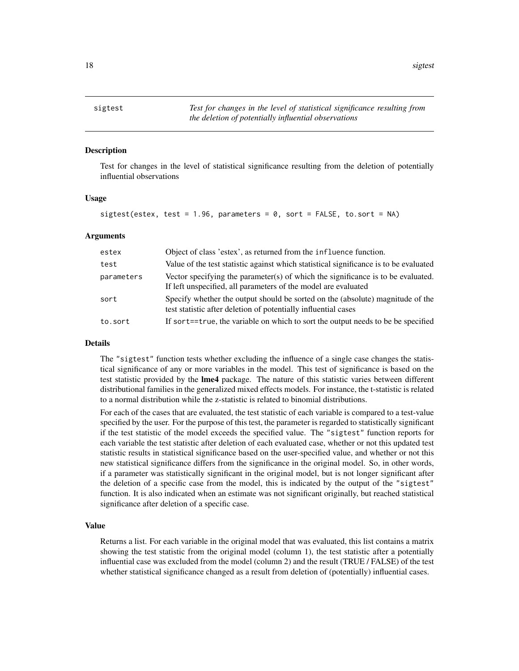<span id="page-17-1"></span><span id="page-17-0"></span>Test for changes in the level of statistical significance resulting from the deletion of potentially influential observations

#### Usage

```
sigtest(estex, test = 1.96, parameters = 0, sort = FALSE, to.sort = NA)
```
#### Arguments

| estex      | Object of class 'estex', as returned from the influence function.                                                                                  |
|------------|----------------------------------------------------------------------------------------------------------------------------------------------------|
| test       | Value of the test statistic against which statistical significance is to be evaluated                                                              |
| parameters | Vector specifying the parameter(s) of which the significance is to be evaluated.<br>If left unspecified, all parameters of the model are evaluated |
| sort       | Specify whether the output should be sorted on the (absolute) magnitude of the<br>test statistic after deletion of potentially influential cases   |
| to.sort    | If sort==true, the variable on which to sort the output needs to be be specified                                                                   |

#### Details

The "sigtest" function tests whether excluding the influence of a single case changes the statistical significance of any or more variables in the model. This test of significance is based on the test statistic provided by the lme4 package. The nature of this statistic varies between different distributional families in the generalized mixed effects models. For instance, the t-statistic is related to a normal distribution while the z-statistic is related to binomial distributions.

For each of the cases that are evaluated, the test statistic of each variable is compared to a test-value specified by the user. For the purpose of this test, the parameter is regarded to statistically significant if the test statistic of the model exceeds the specified value. The "sigtest" function reports for each variable the test statistic after deletion of each evaluated case, whether or not this updated test statistic results in statistical significance based on the user-specified value, and whether or not this new statistical significance differs from the significance in the original model. So, in other words, if a parameter was statistically significant in the original model, but is not longer significant after the deletion of a specific case from the model, this is indicated by the output of the "sigtest" function. It is also indicated when an estimate was not significant originally, but reached statistical significance after deletion of a specific case.

#### Value

Returns a list. For each variable in the original model that was evaluated, this list contains a matrix showing the test statistic from the original model (column 1), the test statistic after a potentially influential case was excluded from the model (column 2) and the result (TRUE / FALSE) of the test whether statistical significance changed as a result from deletion of (potentially) influential cases.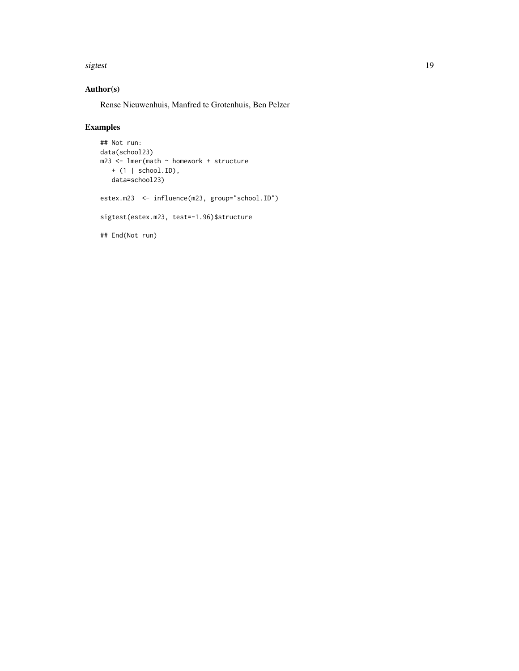sigtest the contract of the contract of the contract of the contract of the contract of the contract of the contract of the contract of the contract of the contract of the contract of the contract of the contract of the co

# Author(s)

Rense Nieuwenhuis, Manfred te Grotenhuis, Ben Pelzer

# Examples

```
## Not run:
data(school23)
m23 <- lmer(math ~ homework + structure
  + (1 | school.ID),
   data=school23)
estex.m23 <- influence(m23, group="school.ID")
sigtest(estex.m23, test=-1.96)$structure
## End(Not run)
```